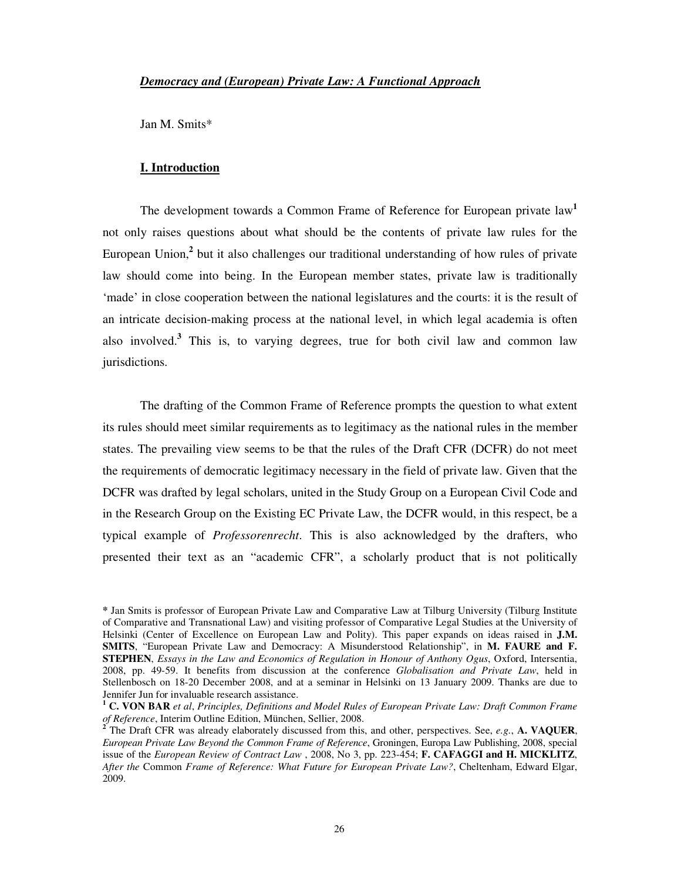Jan M. Smits\*

#### **I. Introduction**

The development towards a Common Frame of Reference for European private law**<sup>1</sup>** not only raises questions about what should be the contents of private law rules for the European Union,<sup>2</sup> but it also challenges our traditional understanding of how rules of private law should come into being. In the European member states, private law is traditionally 'made' in close cooperation between the national legislatures and the courts: it is the result of an intricate decision-making process at the national level, in which legal academia is often also involved.**<sup>3</sup>** This is, to varying degrees, true for both civil law and common law jurisdictions.

The drafting of the Common Frame of Reference prompts the question to what extent its rules should meet similar requirements as to legitimacy as the national rules in the member states. The prevailing view seems to be that the rules of the Draft CFR (DCFR) do not meet the requirements of democratic legitimacy necessary in the field of private law. Given that the DCFR was drafted by legal scholars, united in the Study Group on a European Civil Code and in the Research Group on the Existing EC Private Law, the DCFR would, in this respect, be a typical example of *Professorenrecht*. This is also acknowledged by the drafters, who presented their text as an "academic CFR", a scholarly product that is not politically

**<sup>\*</sup>** Jan Smits is professor of European Private Law and Comparative Law at Tilburg University (Tilburg Institute of Comparative and Transnational Law) and visiting professor of Comparative Legal Studies at the University of Helsinki (Center of Excellence on European Law and Polity). This paper expands on ideas raised in **J.M. SMITS**, "European Private Law and Democracy: A Misunderstood Relationship", in **M. FAURE and F. STEPHEN**, *Essays in the Law and Economics of Regulation in Honour of Anthony Ogus*, Oxford, Intersentia, 2008, pp. 49-59. It benefits from discussion at the conference *Globalisation and Private Law*, held in Stellenbosch on 18-20 December 2008, and at a seminar in Helsinki on 13 January 2009. Thanks are due to Jennifer Jun for invaluable research assistance.

**<sup>1</sup> C. VON BAR** *et al*, *Principles, Definitions and Model Rules of European Private Law: Draft Common Frame of Reference*, Interim Outline Edition, München, Sellier, 2008.

**<sup>2</sup>** The Draft CFR was already elaborately discussed from this, and other, perspectives. See, *e.g.*, **A. VAQUER**, *European Private Law Beyond the Common Frame of Reference*, Groningen, Europa Law Publishing, 2008, special issue of the *European Review of Contract Law* , 2008, No 3, pp. 223-454; **F. CAFAGGI and H. MICKLITZ**, *After the* Common *Frame of Reference: What Future for European Private Law?*, Cheltenham, Edward Elgar, 2009.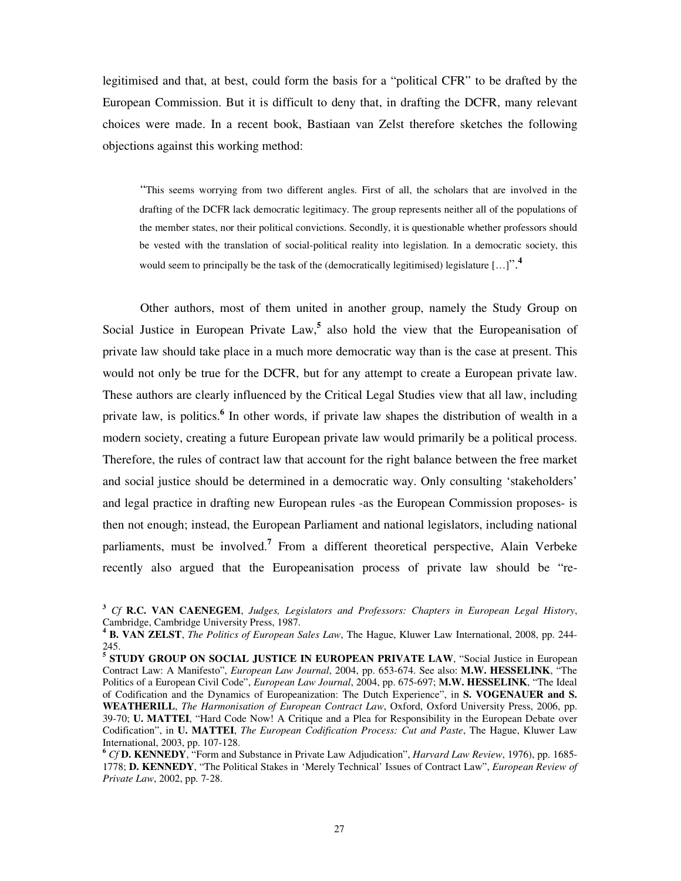legitimised and that, at best, could form the basis for a "political CFR" to be drafted by the European Commission. But it is difficult to deny that, in drafting the DCFR, many relevant choices were made. In a recent book, Bastiaan van Zelst therefore sketches the following objections against this working method:

"This seems worrying from two different angles. First of all, the scholars that are involved in the drafting of the DCFR lack democratic legitimacy. The group represents neither all of the populations of the member states, nor their political convictions. Secondly, it is questionable whether professors should be vested with the translation of social-political reality into legislation. In a democratic society, this would seem to principally be the task of the (democratically legitimised) legislature […]".**<sup>4</sup>**

Other authors, most of them united in another group, namely the Study Group on Social Justice in European Private Law,<sup>5</sup> also hold the view that the Europeanisation of private law should take place in a much more democratic way than is the case at present. This would not only be true for the DCFR, but for any attempt to create a European private law. These authors are clearly influenced by the Critical Legal Studies view that all law, including private law, is politics.**<sup>6</sup>** In other words, if private law shapes the distribution of wealth in a modern society, creating a future European private law would primarily be a political process. Therefore, the rules of contract law that account for the right balance between the free market and social justice should be determined in a democratic way. Only consulting 'stakeholders' and legal practice in drafting new European rules -as the European Commission proposes- is then not enough; instead, the European Parliament and national legislators, including national parliaments, must be involved.**<sup>7</sup>** From a different theoretical perspective, Alain Verbeke recently also argued that the Europeanisation process of private law should be "re-

**<sup>3</sup>** *Cf* **R.C. VAN CAENEGEM**, *Judges, Legislators and Professors: Chapters in European Legal History*, Cambridge, Cambridge University Press, 1987.

**<sup>4</sup> B. VAN ZELST**, *The Politics of European Sales Law*, The Hague, Kluwer Law International, 2008, pp. 244- 245.

**<sup>5</sup> STUDY GROUP ON SOCIAL JUSTICE IN EUROPEAN PRIVATE LAW**, "Social Justice in European Contract Law: A Manifesto", *European Law Journal*, 2004, pp. 653-674. See also: **M.W. HESSELINK**, "The Politics of a European Civil Code", *European Law Journal*, 2004, pp. 675-697; **M.W. HESSELINK**, "The Ideal of Codification and the Dynamics of Europeanization: The Dutch Experience", in **S. VOGENAUER and S. WEATHERILL**, *The Harmonisation of European Contract Law*, Oxford, Oxford University Press, 2006, pp. 39-70; **U. MATTEI**, "Hard Code Now! A Critique and a Plea for Responsibility in the European Debate over Codification", in **U. MATTEI**, *The European Codification Process: Cut and Paste*, The Hague, Kluwer Law International, 2003, pp. 107-128.

**<sup>6</sup>** *Cf* **D. KENNEDY**, "Form and Substance in Private Law Adjudication", *Harvard Law Review*, 1976), pp. 1685- 1778; **D. KENNEDY**, "The Political Stakes in 'Merely Technical' Issues of Contract Law", *European Review of Private Law*, 2002, pp. 7-28.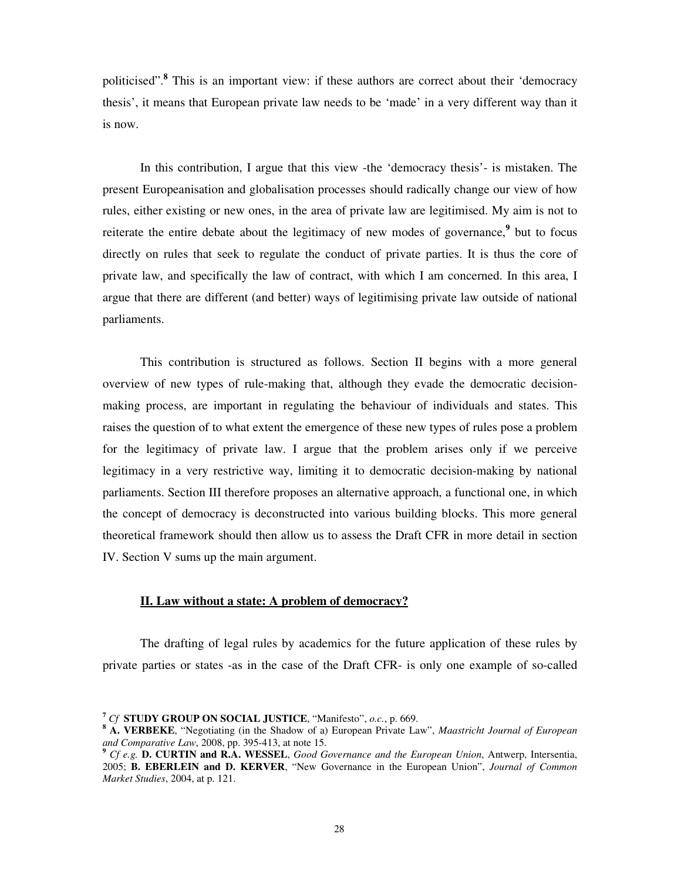politicised".**<sup>8</sup>** This is an important view: if these authors are correct about their 'democracy thesis', it means that European private law needs to be 'made' in a very different way than it is now.

In this contribution, I argue that this view -the 'democracy thesis'- is mistaken. The present Europeanisation and globalisation processes should radically change our view of how rules, either existing or new ones, in the area of private law are legitimised. My aim is not to reiterate the entire debate about the legitimacy of new modes of governance,<sup>9</sup> but to focus directly on rules that seek to regulate the conduct of private parties. It is thus the core of private law, and specifically the law of contract, with which I am concerned. In this area, I argue that there are different (and better) ways of legitimising private law outside of national parliaments.

This contribution is structured as follows. Section II begins with a more general overview of new types of rule-making that, although they evade the democratic decisionmaking process, are important in regulating the behaviour of individuals and states. This raises the question of to what extent the emergence of these new types of rules pose a problem for the legitimacy of private law. I argue that the problem arises only if we perceive legitimacy in a very restrictive way, limiting it to democratic decision-making by national parliaments. Section III therefore proposes an alternative approach, a functional one, in which the concept of democracy is deconstructed into various building blocks. This more general theoretical framework should then allow us to assess the Draft CFR in more detail in section IV. Section V sums up the main argument.

## **II. Law without a state: A problem of democracy?**

The drafting of legal rules by academics for the future application of these rules by private parties or states -as in the case of the Draft CFR- is only one example of so-called

**<sup>7</sup>** *Cf* **STUDY GROUP ON SOCIAL JUSTICE**, "Manifesto", *o.c.*, p. 669.

**<sup>8</sup> A. VERBEKE**, "Negotiating (in the Shadow of a) European Private Law", *Maastricht Journal of European and Comparative Law*, 2008, pp. 395-413, at note 15.

**<sup>9</sup>** *Cf e.g.* **D. CURTIN and R.A. WESSEL**, *Good Governance and the European Union*, Antwerp, Intersentia, 2005; **B. EBERLEIN and D. KERVER**, "New Governance in the European Union", *Journal of Common Market Studies*, 2004, at p. 121.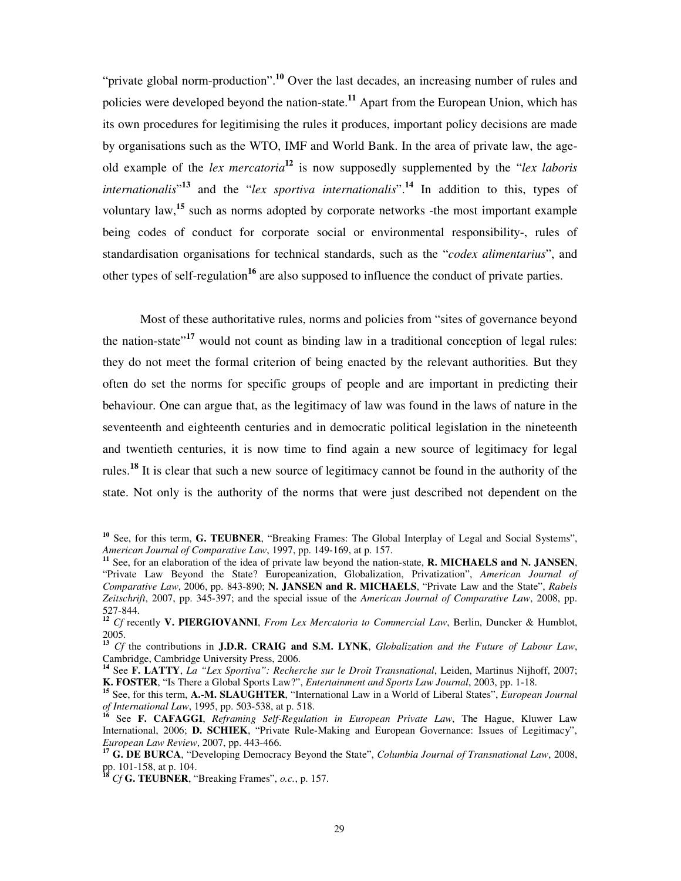"private global norm-production".**<sup>10</sup>** Over the last decades, an increasing number of rules and policies were developed beyond the nation-state.**<sup>11</sup>** Apart from the European Union, which has its own procedures for legitimising the rules it produces, important policy decisions are made by organisations such as the WTO, IMF and World Bank. In the area of private law, the ageold example of the *lex mercatoria***<sup>12</sup>** is now supposedly supplemented by the "*lex laboris internationalis*" **<sup>13</sup>** and the "*lex sportiva internationalis*".**<sup>14</sup>** In addition to this, types of voluntary law,**<sup>15</sup>** such as norms adopted by corporate networks -the most important example being codes of conduct for corporate social or environmental responsibility-, rules of standardisation organisations for technical standards, such as the "*codex alimentarius*", and other types of self-regulation**<sup>16</sup>** are also supposed to influence the conduct of private parties.

Most of these authoritative rules, norms and policies from "sites of governance beyond the nation-state"**<sup>17</sup>** would not count as binding law in a traditional conception of legal rules: they do not meet the formal criterion of being enacted by the relevant authorities. But they often do set the norms for specific groups of people and are important in predicting their behaviour. One can argue that, as the legitimacy of law was found in the laws of nature in the seventeenth and eighteenth centuries and in democratic political legislation in the nineteenth and twentieth centuries, it is now time to find again a new source of legitimacy for legal rules.**<sup>18</sup>** It is clear that such a new source of legitimacy cannot be found in the authority of the state. Not only is the authority of the norms that were just described not dependent on the

**<sup>10</sup>** See, for this term, **G. TEUBNER**, "Breaking Frames: The Global Interplay of Legal and Social Systems", *American Journal of Comparative Law*, 1997, pp. 149-169, at p. 157.

**<sup>11</sup>** See, for an elaboration of the idea of private law beyond the nation-state, **R. MICHAELS and N. JANSEN**, "Private Law Beyond the State? Europeanization, Globalization, Privatization", *American Journal of Comparative Law*, 2006, pp. 843-890; **N. JANSEN and R. MICHAELS**, "Private Law and the State", *Rabels Zeitschrift*, 2007, pp. 345-397; and the special issue of the *American Journal of Comparative Law*, 2008, pp. 527-844.

**<sup>12</sup>** *Cf* recently **V. PIERGIOVANNI**, *From Lex Mercatoria to Commercial Law*, Berlin, Duncker & Humblot, 2005.

**<sup>13</sup>** *Cf* the contributions in **J.D.R. CRAIG and S.M. LYNK**, *Globalization and the Future of Labour Law*, Cambridge, Cambridge University Press, 2006.

**<sup>14</sup>** See **F. LATTY**, *La "Lex Sportiva": Recherche sur le Droit Transnational*, Leiden, Martinus Nijhoff, 2007; **K. FOSTER**, "Is There a Global Sports Law?", *Entertainment and Sports Law Journal*, 2003, pp. 1-18.

**<sup>15</sup>** See, for this term, **A.-M. SLAUGHTER**, "International Law in a World of Liberal States", *European Journal of International Law*, 1995, pp. 503-538, at p. 518.

**<sup>16</sup>** See **F. CAFAGGI**, *Reframing Self-Regulation in European Private Law*, The Hague, Kluwer Law International, 2006; **D. SCHIEK**, "Private Rule-Making and European Governance: Issues of Legitimacy", *European Law Review*, 2007, pp. 443-466.

**<sup>17</sup> G. DE BURCA**, "Developing Democracy Beyond the State", *Columbia Journal of Transnational Law*, 2008, pp. 101-158, at p. 104.

**<sup>18</sup>** *Cf* **G. TEUBNER**, "Breaking Frames", *o.c.*, p. 157.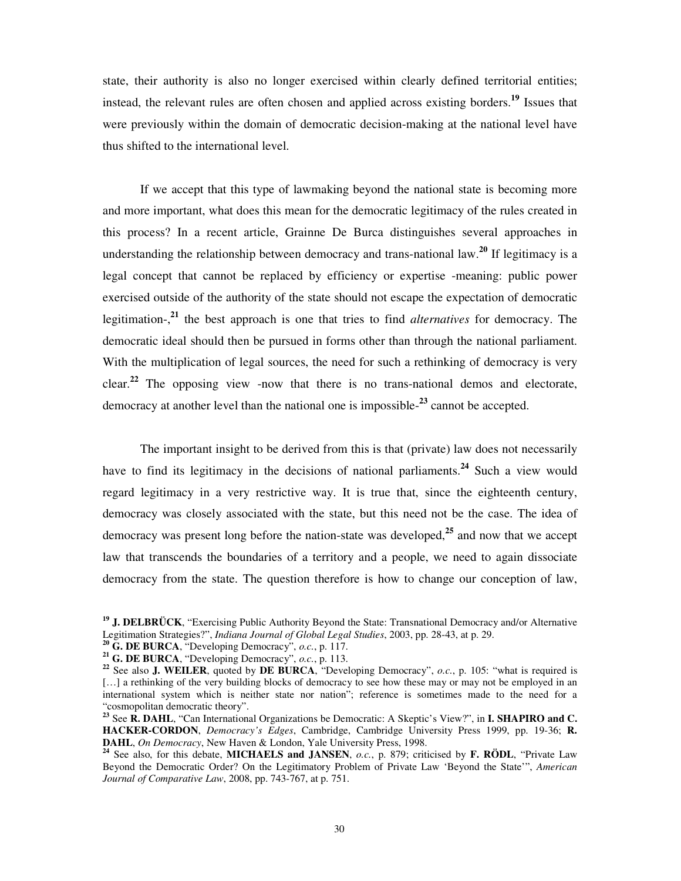state, their authority is also no longer exercised within clearly defined territorial entities; instead, the relevant rules are often chosen and applied across existing borders.**<sup>19</sup>** Issues that were previously within the domain of democratic decision-making at the national level have thus shifted to the international level.

If we accept that this type of lawmaking beyond the national state is becoming more and more important, what does this mean for the democratic legitimacy of the rules created in this process? In a recent article, Grainne De Burca distinguishes several approaches in understanding the relationship between democracy and trans-national law. **<sup>20</sup>** If legitimacy is a legal concept that cannot be replaced by efficiency or expertise -meaning: public power exercised outside of the authority of the state should not escape the expectation of democratic legitimation-,**<sup>21</sup>** the best approach is one that tries to find *alternatives* for democracy. The democratic ideal should then be pursued in forms other than through the national parliament. With the multiplication of legal sources, the need for such a rethinking of democracy is very clear.**<sup>22</sup>** The opposing view -now that there is no trans-national demos and electorate, democracy at another level than the national one is impossible-**<sup>23</sup>** cannot be accepted.

The important insight to be derived from this is that (private) law does not necessarily have to find its legitimacy in the decisions of national parliaments.**<sup>24</sup>** Such a view would regard legitimacy in a very restrictive way. It is true that, since the eighteenth century, democracy was closely associated with the state, but this need not be the case. The idea of democracy was present long before the nation-state was developed,**<sup>25</sup>** and now that we accept law that transcends the boundaries of a territory and a people, we need to again dissociate democracy from the state. The question therefore is how to change our conception of law,

**<sup>19</sup> J. DELBRÜCK**, "Exercising Public Authority Beyond the State: Transnational Democracy and/or Alternative Legitimation Strategies?", *Indiana Journal of Global Legal Studies*, 2003, pp. 28-43, at p. 29.

**<sup>20</sup> G. DE BURCA**, "Developing Democracy", *o.c.*, p. 117.

**<sup>21</sup> G. DE BURCA**, "Developing Democracy", *o.c.*, p. 113.

**<sup>22</sup>** See also **J. WEILER**, quoted by **DE BURCA**, "Developing Democracy", *o.c.*, p. 105: "what is required is [...] a rethinking of the very building blocks of democracy to see how these may or may not be employed in an international system which is neither state nor nation"; reference is sometimes made to the need for a "cosmopolitan democratic theory".

**<sup>23</sup>** See **R. DAHL**, "Can International Organizations be Democratic: A Skeptic's View?", in **I. SHAPIRO and C. HACKER-CORDON**, *Democracy's Edges*, Cambridge, Cambridge University Press 1999, pp. 19-36; **R. DAHL**, *On Democracy*, New Haven & London, Yale University Press, 1998.

**<sup>24</sup>** See also, for this debate, **MICHAELS and JANSEN**, *o.c.*, p. 879; criticised by **F. RÖDL**, "Private Law Beyond the Democratic Order? On the Legitimatory Problem of Private Law 'Beyond the State'", *American Journal of Comparative Law*, 2008, pp. 743-767, at p. 751.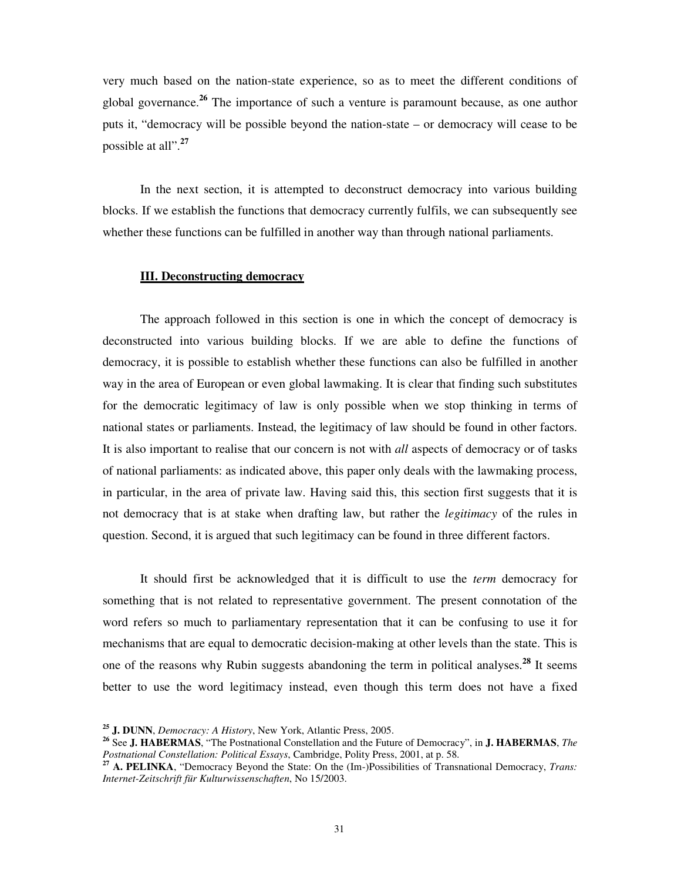very much based on the nation-state experience, so as to meet the different conditions of global governance.**<sup>26</sup>** The importance of such a venture is paramount because, as one author puts it, "democracy will be possible beyond the nation-state – or democracy will cease to be possible at all".**<sup>27</sup>**

In the next section, it is attempted to deconstruct democracy into various building blocks. If we establish the functions that democracy currently fulfils, we can subsequently see whether these functions can be fulfilled in another way than through national parliaments.

#### **III. Deconstructing democracy**

The approach followed in this section is one in which the concept of democracy is deconstructed into various building blocks. If we are able to define the functions of democracy, it is possible to establish whether these functions can also be fulfilled in another way in the area of European or even global lawmaking. It is clear that finding such substitutes for the democratic legitimacy of law is only possible when we stop thinking in terms of national states or parliaments. Instead, the legitimacy of law should be found in other factors. It is also important to realise that our concern is not with *all* aspects of democracy or of tasks of national parliaments: as indicated above, this paper only deals with the lawmaking process, in particular, in the area of private law. Having said this, this section first suggests that it is not democracy that is at stake when drafting law, but rather the *legitimacy* of the rules in question. Second, it is argued that such legitimacy can be found in three different factors.

It should first be acknowledged that it is difficult to use the *term* democracy for something that is not related to representative government. The present connotation of the word refers so much to parliamentary representation that it can be confusing to use it for mechanisms that are equal to democratic decision-making at other levels than the state. This is one of the reasons why Rubin suggests abandoning the term in political analyses.**<sup>28</sup>** It seems better to use the word legitimacy instead, even though this term does not have a fixed

**<sup>25</sup> J. DUNN**, *Democracy: A History*, New York, Atlantic Press, 2005.

**<sup>26</sup>** See **J. HABERMAS**, "The Postnational Constellation and the Future of Democracy", in **J. HABERMAS**, *The Postnational Constellation: Political Essays*, Cambridge, Polity Press, 2001, at p. 58.

**<sup>27</sup> A. PELINKA**, "Democracy Beyond the State: On the (Im-)Possibilities of Transnational Democracy, *Trans: Internet-Zeitschrift für Kulturwissenschaften*, No 15/2003.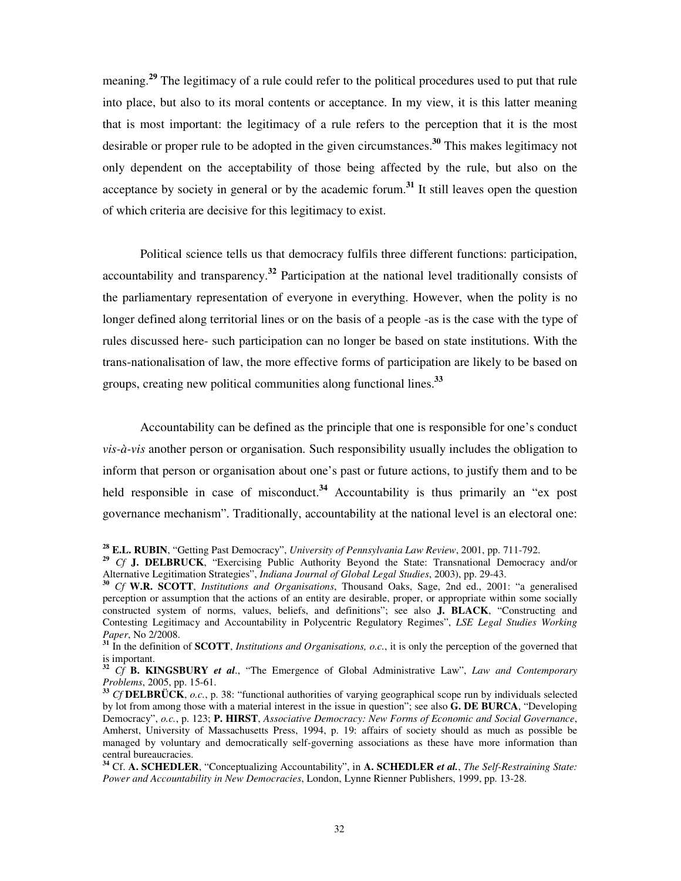meaning.<sup>29</sup> The legitimacy of a rule could refer to the political procedures used to put that rule into place, but also to its moral contents or acceptance. In my view, it is this latter meaning that is most important: the legitimacy of a rule refers to the perception that it is the most desirable or proper rule to be adopted in the given circumstances.**<sup>30</sup>** This makes legitimacy not only dependent on the acceptability of those being affected by the rule, but also on the acceptance by society in general or by the academic forum.**<sup>31</sup>** It still leaves open the question of which criteria are decisive for this legitimacy to exist.

Political science tells us that democracy fulfils three different functions: participation, accountability and transparency.**<sup>32</sup>** Participation at the national level traditionally consists of the parliamentary representation of everyone in everything. However, when the polity is no longer defined along territorial lines or on the basis of a people -as is the case with the type of rules discussed here- such participation can no longer be based on state institutions. With the trans-nationalisation of law, the more effective forms of participation are likely to be based on groups, creating new political communities along functional lines.**<sup>33</sup>**

Accountability can be defined as the principle that one is responsible for one's conduct *vis-à-vis* another person or organisation. Such responsibility usually includes the obligation to inform that person or organisation about one's past or future actions, to justify them and to be held responsible in case of misconduct.<sup>34</sup> Accountability is thus primarily an "ex post governance mechanism". Traditionally, accountability at the national level is an electoral one:

**<sup>28</sup> E.L. RUBIN**, "Getting Past Democracy", *University of Pennsylvania Law Review*, 2001, pp. 711-792.

**<sup>29</sup>** *Cf* **J. DELBRUCK**, "Exercising Public Authority Beyond the State: Transnational Democracy and/or Alternative Legitimation Strategies", *Indiana Journal of Global Legal Studies*, 2003), pp. 29-43.

**<sup>30</sup>** *Cf* **W.R. SCOTT**, *Institutions and Organisations*, Thousand Oaks, Sage, 2nd ed., 2001: "a generalised perception or assumption that the actions of an entity are desirable, proper, or appropriate within some socially constructed system of norms, values, beliefs, and definitions"; see also **J. BLACK**, "Constructing and Contesting Legitimacy and Accountability in Polycentric Regulatory Regimes", *LSE Legal Studies Working Paper*, No 2/2008.

**<sup>31</sup>** In the definition of **SCOTT**, *Institutions and Organisations, o.c.*, it is only the perception of the governed that is important.

**<sup>32</sup>** *Cf* **B. KINGSBURY** *et al*., "The Emergence of Global Administrative Law", *Law and Contemporary Problems*, 2005, pp. 15-61.

**<sup>33</sup>** *Cf* **DELBRÜCK**, *o.c.*, p. 38: "functional authorities of varying geographical scope run by individuals selected by lot from among those with a material interest in the issue in question"; see also **G. DE BURCA**, "Developing Democracy", *o.c.*, p. 123; **P. HIRST**, *Associative Democracy: New Forms of Economic and Social Governance*, Amherst, University of Massachusetts Press, 1994, p. 19: affairs of society should as much as possible be managed by voluntary and democratically self-governing associations as these have more information than central bureaucracies.

**<sup>34</sup>** Cf. **A. SCHEDLER**, "Conceptualizing Accountability", in **A. SCHEDLER** *et al.*, *The Self-Restraining State: Power and Accountability in New Democracies*, London, Lynne Rienner Publishers, 1999, pp. 13-28.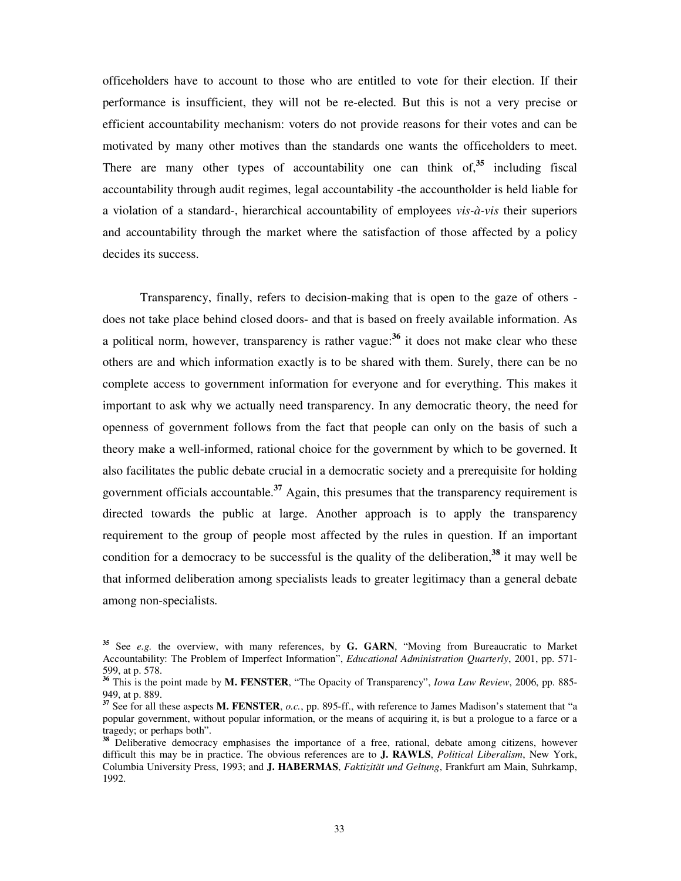officeholders have to account to those who are entitled to vote for their election. If their performance is insufficient, they will not be re-elected. But this is not a very precise or efficient accountability mechanism: voters do not provide reasons for their votes and can be motivated by many other motives than the standards one wants the officeholders to meet. There are many other types of accountability one can think of,**<sup>35</sup>** including fiscal accountability through audit regimes, legal accountability -the accountholder is held liable for a violation of a standard-, hierarchical accountability of employees *vis-à-vis* their superiors and accountability through the market where the satisfaction of those affected by a policy decides its success.

Transparency, finally, refers to decision-making that is open to the gaze of others does not take place behind closed doors- and that is based on freely available information. As a political norm, however, transparency is rather vague:**<sup>36</sup>** it does not make clear who these others are and which information exactly is to be shared with them. Surely, there can be no complete access to government information for everyone and for everything. This makes it important to ask why we actually need transparency. In any democratic theory, the need for openness of government follows from the fact that people can only on the basis of such a theory make a well-informed, rational choice for the government by which to be governed. It also facilitates the public debate crucial in a democratic society and a prerequisite for holding government officials accountable.**<sup>37</sup>** Again, this presumes that the transparency requirement is directed towards the public at large. Another approach is to apply the transparency requirement to the group of people most affected by the rules in question. If an important condition for a democracy to be successful is the quality of the deliberation,**<sup>38</sup>** it may well be that informed deliberation among specialists leads to greater legitimacy than a general debate among non-specialists.

**<sup>35</sup>** See *e.g.* the overview, with many references, by **G. GARN**, "Moving from Bureaucratic to Market Accountability: The Problem of Imperfect Information", *Educational Administration Quarterly*, 2001, pp. 571- 599, at p. 578.

**<sup>36</sup>** This is the point made by **M. FENSTER**, "The Opacity of Transparency", *Iowa Law Review*, 2006, pp. 885- 949, at p. 889.

**<sup>37</sup>** See for all these aspects **M. FENSTER**, *o.c.*, pp. 895-ff., with reference to James Madison's statement that "a popular government, without popular information, or the means of acquiring it, is but a prologue to a farce or a tragedy; or perhaps both".

<sup>&</sup>lt;sup>38</sup> Deliberative democracy emphasises the importance of a free, rational, debate among citizens, however difficult this may be in practice. The obvious references are to **J. RAWLS**, *Political Liberalism*, New York, Columbia University Press, 1993; and **J. HABERMAS**, *Faktizität und Geltung*, Frankfurt am Main, Suhrkamp, 1992.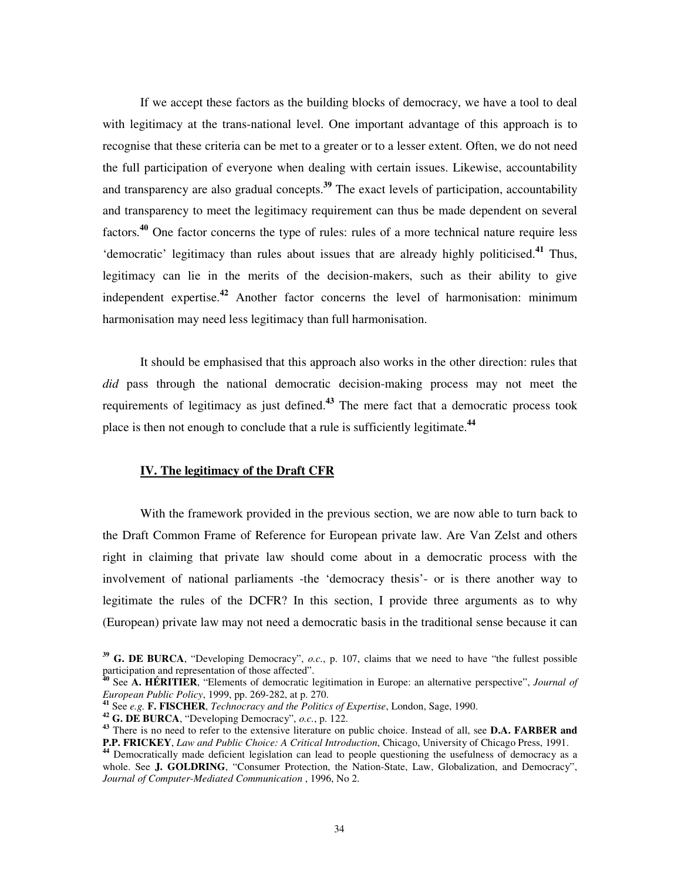If we accept these factors as the building blocks of democracy, we have a tool to deal with legitimacy at the trans-national level. One important advantage of this approach is to recognise that these criteria can be met to a greater or to a lesser extent. Often, we do not need the full participation of everyone when dealing with certain issues. Likewise, accountability and transparency are also gradual concepts.**<sup>39</sup>** The exact levels of participation, accountability and transparency to meet the legitimacy requirement can thus be made dependent on several factors.**<sup>40</sup>** One factor concerns the type of rules: rules of a more technical nature require less 'democratic' legitimacy than rules about issues that are already highly politicised.**<sup>41</sup>** Thus, legitimacy can lie in the merits of the decision-makers, such as their ability to give independent expertise.**<sup>42</sup>** Another factor concerns the level of harmonisation: minimum harmonisation may need less legitimacy than full harmonisation.

It should be emphasised that this approach also works in the other direction: rules that *did* pass through the national democratic decision-making process may not meet the requirements of legitimacy as just defined.**<sup>43</sup>** The mere fact that a democratic process took place is then not enough to conclude that a rule is sufficiently legitimate.**<sup>44</sup>**

# **IV. The legitimacy of the Draft CFR**

With the framework provided in the previous section, we are now able to turn back to the Draft Common Frame of Reference for European private law. Are Van Zelst and others right in claiming that private law should come about in a democratic process with the involvement of national parliaments -the 'democracy thesis'- or is there another way to legitimate the rules of the DCFR? In this section, I provide three arguments as to why (European) private law may not need a democratic basis in the traditional sense because it can

**<sup>39</sup> G. DE BURCA**, "Developing Democracy", *o.c.*, p. 107, claims that we need to have "the fullest possible participation and representation of those affected".

**<sup>40</sup>** See **A. HÉRITIER**, "Elements of democratic legitimation in Europe: an alternative perspective", *Journal of European Public Policy*, 1999, pp. 269-282, at p. 270.

**<sup>41</sup>** See *e.g.* **F. FISCHER**, *Technocracy and the Politics of Expertise*, London, Sage, 1990.

**<sup>42</sup> G. DE BURCA**, "Developing Democracy", *o.c.*, p. 122.

**<sup>43</sup>** There is no need to refer to the extensive literature on public choice. Instead of all, see **D.A. FARBER and P.P. FRICKEY**, *Law and Public Choice: A Critical Introduction*, Chicago, University of Chicago Press, 1991.

**<sup>44</sup>** Democratically made deficient legislation can lead to people questioning the usefulness of democracy as a whole. See **J. GOLDRING**, "Consumer Protection, the Nation-State, Law, Globalization, and Democracy", *Journal of Computer-Mediated Communication* , 1996, No 2.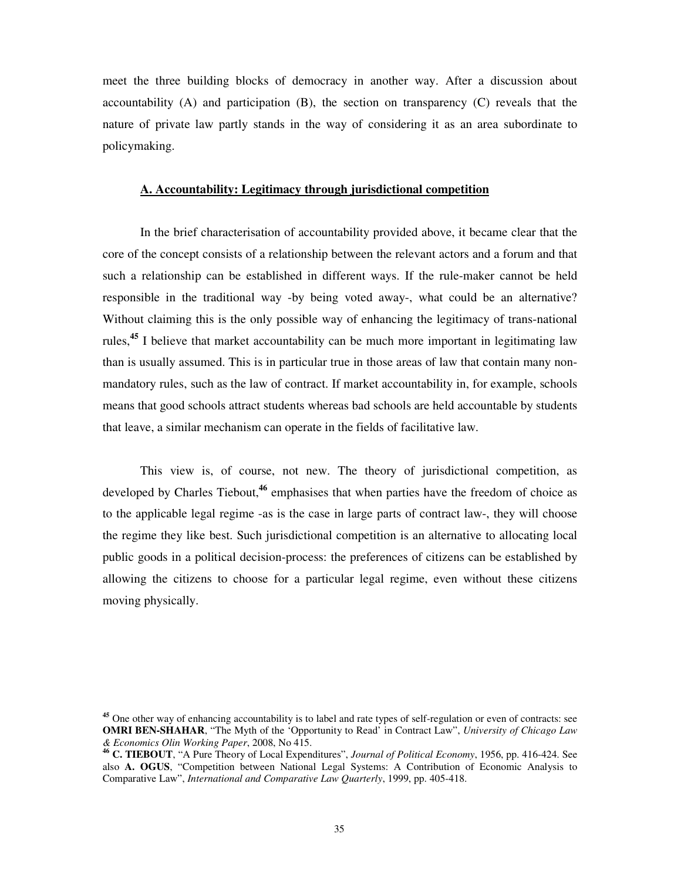meet the three building blocks of democracy in another way. After a discussion about accountability (A) and participation (B), the section on transparency (C) reveals that the nature of private law partly stands in the way of considering it as an area subordinate to policymaking.

### **A. Accountability: Legitimacy through jurisdictional competition**

In the brief characterisation of accountability provided above, it became clear that the core of the concept consists of a relationship between the relevant actors and a forum and that such a relationship can be established in different ways. If the rule-maker cannot be held responsible in the traditional way -by being voted away-, what could be an alternative? Without claiming this is the only possible way of enhancing the legitimacy of trans-national rules,**<sup>45</sup>** I believe that market accountability can be much more important in legitimating law than is usually assumed. This is in particular true in those areas of law that contain many nonmandatory rules, such as the law of contract. If market accountability in, for example, schools means that good schools attract students whereas bad schools are held accountable by students that leave, a similar mechanism can operate in the fields of facilitative law.

This view is, of course, not new. The theory of jurisdictional competition, as developed by Charles Tiebout,**<sup>46</sup>** emphasises that when parties have the freedom of choice as to the applicable legal regime -as is the case in large parts of contract law-, they will choose the regime they like best. Such jurisdictional competition is an alternative to allocating local public goods in a political decision-process: the preferences of citizens can be established by allowing the citizens to choose for a particular legal regime, even without these citizens moving physically.

**<sup>45</sup>** One other way of enhancing accountability is to label and rate types of self-regulation or even of contracts: see **OMRI BEN-SHAHAR**, "The Myth of the 'Opportunity to Read' in Contract Law", *University of Chicago Law & Economics Olin Working Paper*, 2008, No 415.

**<sup>46</sup> C. TIEBOUT**, "A Pure Theory of Local Expenditures", *Journal of Political Economy*, 1956, pp. 416-424. See also **A. OGUS**, "Competition between National Legal Systems: A Contribution of Economic Analysis to Comparative Law", *International and Comparative Law Quarterly*, 1999, pp. 405-418.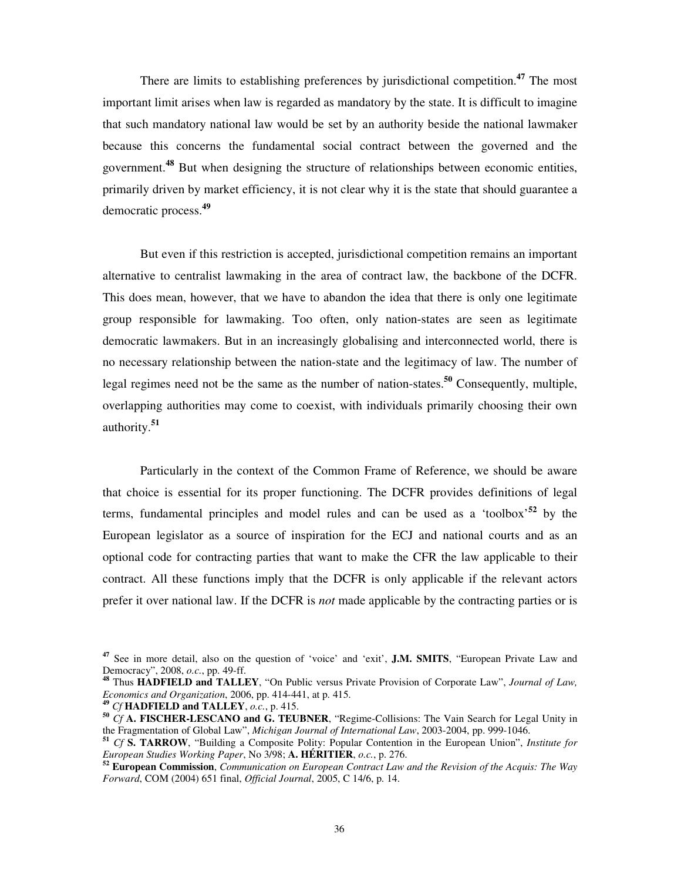There are limits to establishing preferences by jurisdictional competition.**<sup>47</sup>** The most important limit arises when law is regarded as mandatory by the state. It is difficult to imagine that such mandatory national law would be set by an authority beside the national lawmaker because this concerns the fundamental social contract between the governed and the government.**<sup>48</sup>** But when designing the structure of relationships between economic entities, primarily driven by market efficiency, it is not clear why it is the state that should guarantee a democratic process.**<sup>49</sup>**

But even if this restriction is accepted, jurisdictional competition remains an important alternative to centralist lawmaking in the area of contract law, the backbone of the DCFR. This does mean, however, that we have to abandon the idea that there is only one legitimate group responsible for lawmaking. Too often, only nation-states are seen as legitimate democratic lawmakers. But in an increasingly globalising and interconnected world, there is no necessary relationship between the nation-state and the legitimacy of law. The number of legal regimes need not be the same as the number of nation-states.**<sup>50</sup>** Consequently, multiple, overlapping authorities may come to coexist, with individuals primarily choosing their own authority.**<sup>51</sup>**

Particularly in the context of the Common Frame of Reference, we should be aware that choice is essential for its proper functioning. The DCFR provides definitions of legal terms, fundamental principles and model rules and can be used as a 'toolbox'**<sup>52</sup>** by the European legislator as a source of inspiration for the ECJ and national courts and as an optional code for contracting parties that want to make the CFR the law applicable to their contract. All these functions imply that the DCFR is only applicable if the relevant actors prefer it over national law. If the DCFR is *not* made applicable by the contracting parties or is

**<sup>47</sup>** See in more detail, also on the question of 'voice' and 'exit', **J.M. SMITS**, "European Private Law and Democracy", 2008, *o.c.*, pp. 49-ff.

**<sup>48</sup>** Thus **HADFIELD and TALLEY**, "On Public versus Private Provision of Corporate Law", *Journal of Law, Economics and Organization*, 2006, pp. 414-441, at p. 415.

**<sup>49</sup>** *Cf* **HADFIELD and TALLEY**, *o.c.*, p. 415.

**<sup>50</sup>** *Cf* **A. FISCHER-LESCANO and G. TEUBNER**, "Regime-Collisions: The Vain Search for Legal Unity in the Fragmentation of Global Law", *Michigan Journal of International Law*, 2003-2004, pp. 999-1046.

**<sup>51</sup>** *Cf* **S. TARROW**, "Building a Composite Polity: Popular Contention in the European Union", *Institute for European Studies Working Paper*, No 3/98; **A. HÉRITIER**, *o.c.*, p. 276.

**<sup>52</sup> European Commission**, *Communication on European Contract Law and the Revision of the Acquis: The Way Forward*, COM (2004) 651 final, *Official Journal*, 2005, C 14/6, p. 14.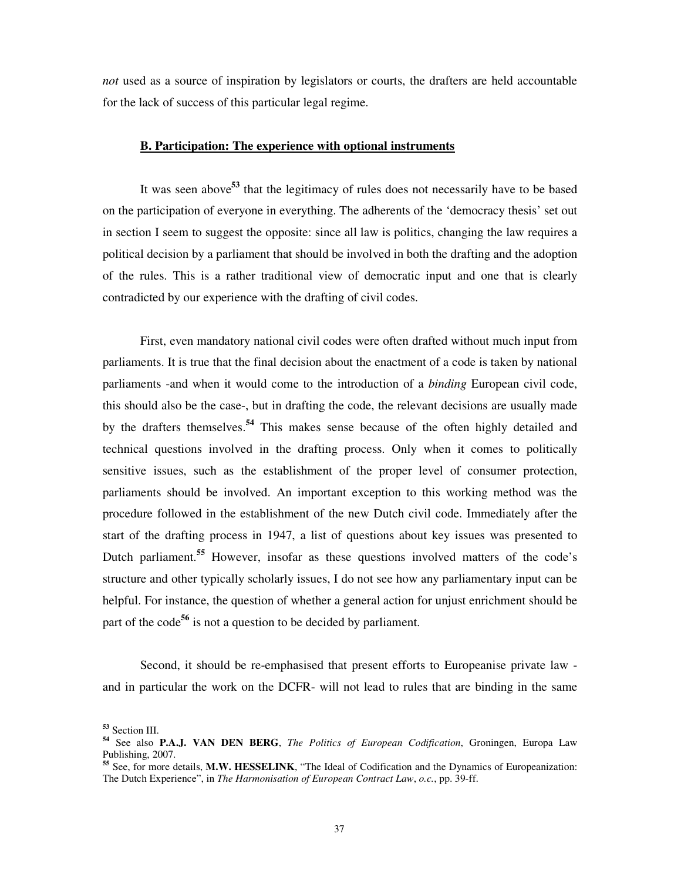*not* used as a source of inspiration by legislators or courts, the drafters are held accountable for the lack of success of this particular legal regime.

### **B. Participation: The experience with optional instruments**

It was seen above**<sup>53</sup>** that the legitimacy of rules does not necessarily have to be based on the participation of everyone in everything. The adherents of the 'democracy thesis' set out in section I seem to suggest the opposite: since all law is politics, changing the law requires a political decision by a parliament that should be involved in both the drafting and the adoption of the rules. This is a rather traditional view of democratic input and one that is clearly contradicted by our experience with the drafting of civil codes.

First, even mandatory national civil codes were often drafted without much input from parliaments. It is true that the final decision about the enactment of a code is taken by national parliaments -and when it would come to the introduction of a *binding* European civil code, this should also be the case-, but in drafting the code, the relevant decisions are usually made by the drafters themselves.**<sup>54</sup>** This makes sense because of the often highly detailed and technical questions involved in the drafting process. Only when it comes to politically sensitive issues, such as the establishment of the proper level of consumer protection, parliaments should be involved. An important exception to this working method was the procedure followed in the establishment of the new Dutch civil code. Immediately after the start of the drafting process in 1947, a list of questions about key issues was presented to Dutch parliament.**<sup>55</sup>** However, insofar as these questions involved matters of the code's structure and other typically scholarly issues, I do not see how any parliamentary input can be helpful. For instance, the question of whether a general action for unjust enrichment should be part of the code<sup>56</sup> is not a question to be decided by parliament.

Second, it should be re-emphasised that present efforts to Europeanise private law and in particular the work on the DCFR- will not lead to rules that are binding in the same

**<sup>53</sup>** Section III.

**<sup>54</sup>** See also **P.A.J. VAN DEN BERG**, *The Politics of European Codification*, Groningen, Europa Law Publishing, 2007.

**<sup>55</sup>** See, for more details, **M.W. HESSELINK**, "The Ideal of Codification and the Dynamics of Europeanization: The Dutch Experience", in *The Harmonisation of European Contract Law*, *o.c.*, pp. 39-ff.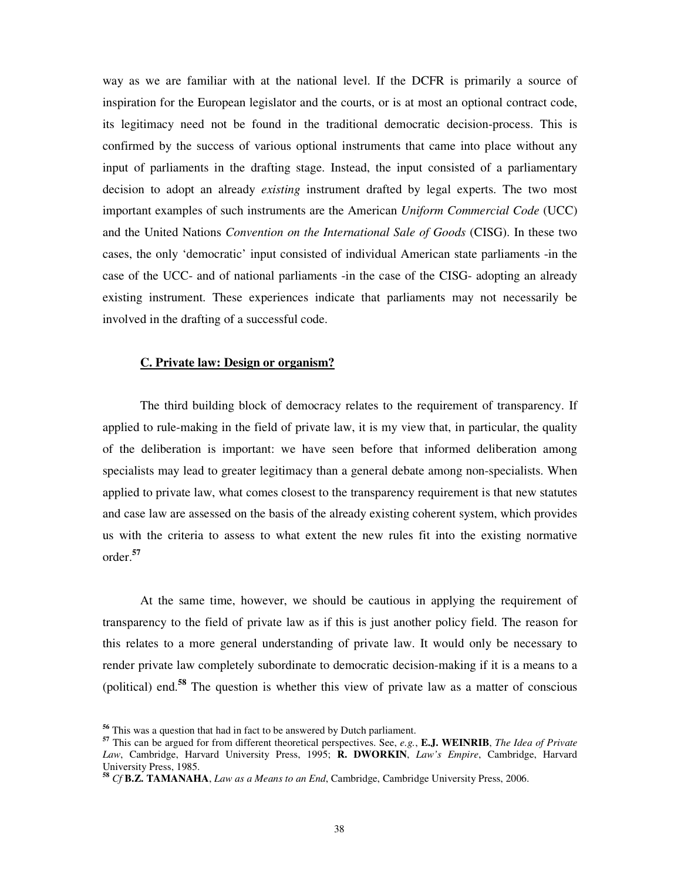way as we are familiar with at the national level. If the DCFR is primarily a source of inspiration for the European legislator and the courts, or is at most an optional contract code, its legitimacy need not be found in the traditional democratic decision-process. This is confirmed by the success of various optional instruments that came into place without any input of parliaments in the drafting stage. Instead, the input consisted of a parliamentary decision to adopt an already *existing* instrument drafted by legal experts. The two most important examples of such instruments are the American *Uniform Commercial Code* (UCC) and the United Nations *Convention on the International Sale of Goods* (CISG). In these two cases, the only 'democratic' input consisted of individual American state parliaments -in the case of the UCC- and of national parliaments -in the case of the CISG- adopting an already existing instrument. These experiences indicate that parliaments may not necessarily be involved in the drafting of a successful code.

## **C. Private law: Design or organism?**

The third building block of democracy relates to the requirement of transparency. If applied to rule-making in the field of private law, it is my view that, in particular, the quality of the deliberation is important: we have seen before that informed deliberation among specialists may lead to greater legitimacy than a general debate among non-specialists. When applied to private law, what comes closest to the transparency requirement is that new statutes and case law are assessed on the basis of the already existing coherent system, which provides us with the criteria to assess to what extent the new rules fit into the existing normative order.**<sup>57</sup>**

At the same time, however, we should be cautious in applying the requirement of transparency to the field of private law as if this is just another policy field. The reason for this relates to a more general understanding of private law. It would only be necessary to render private law completely subordinate to democratic decision-making if it is a means to a (political) end.**<sup>58</sup>** The question is whether this view of private law as a matter of conscious

**<sup>56</sup>** This was a question that had in fact to be answered by Dutch parliament.

**<sup>57</sup>** This can be argued for from different theoretical perspectives. See, *e.g.*, **E.J. WEINRIB**, *The Idea of Private Law*, Cambridge, Harvard University Press, 1995; **R. DWORKIN**, *Law's Empire*, Cambridge, Harvard University Press, 1985.

**<sup>58</sup>** *Cf* **B.Z. TAMANAHA**, *Law as a Means to an End*, Cambridge, Cambridge University Press, 2006.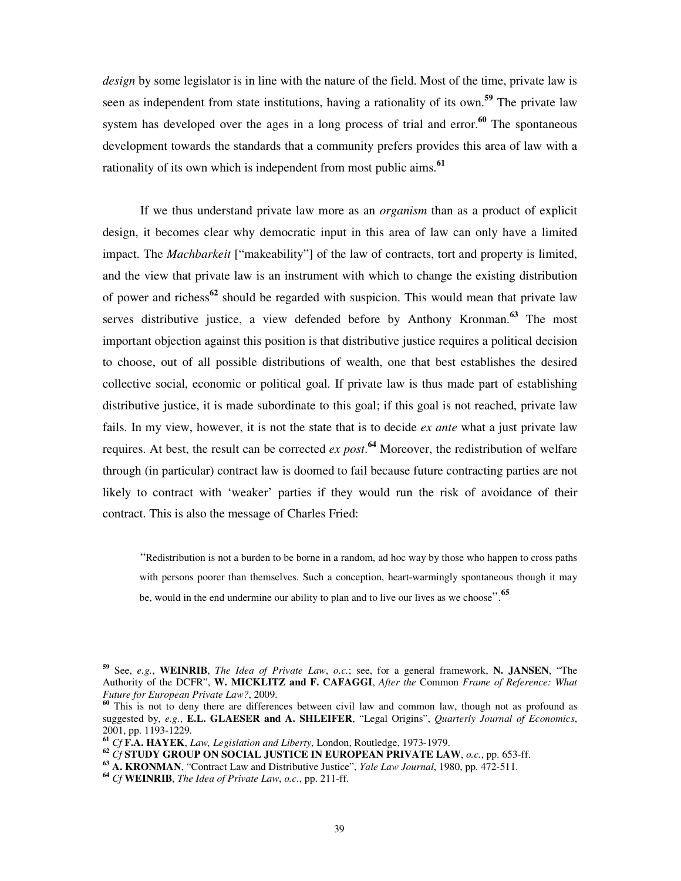*design* by some legislator is in line with the nature of the field. Most of the time, private law is seen as independent from state institutions, having a rationality of its own.**<sup>59</sup>** The private law system has developed over the ages in a long process of trial and error.**<sup>60</sup>** The spontaneous development towards the standards that a community prefers provides this area of law with a rationality of its own which is independent from most public aims.**<sup>61</sup>**

If we thus understand private law more as an *organism* than as a product of explicit design, it becomes clear why democratic input in this area of law can only have a limited impact. The *Machbarkeit* ["makeability"] of the law of contracts, tort and property is limited, and the view that private law is an instrument with which to change the existing distribution of power and richess**<sup>62</sup>** should be regarded with suspicion. This would mean that private law serves distributive justice, a view defended before by Anthony Kronman. **<sup>63</sup>** The most important objection against this position is that distributive justice requires a political decision to choose, out of all possible distributions of wealth, one that best establishes the desired collective social, economic or political goal. If private law is thus made part of establishing distributive justice, it is made subordinate to this goal; if this goal is not reached, private law fails. In my view, however, it is not the state that is to decide *ex ante* what a just private law requires. At best, the result can be corrected *ex post*. **<sup>64</sup>** Moreover, the redistribution of welfare through (in particular) contract law is doomed to fail because future contracting parties are not likely to contract with 'weaker' parties if they would run the risk of avoidance of their contract. This is also the message of Charles Fried:

"Redistribution is not a burden to be borne in a random, ad hoc way by those who happen to cross paths with persons poorer than themselves. Such a conception, heart-warmingly spontaneous though it may be, would in the end undermine our ability to plan and to live our lives as we choose".**<sup>65</sup>**

**<sup>59</sup>** See, *e.g.*, **WEINRIB**, *The Idea of Private Law*, *o.c.*; see, for a general framework, **N. JANSEN**, "The Authority of the DCFR", **W. MICKLITZ and F. CAFAGGI**, *After the* Common *Frame of Reference: What Future for European Private Law?*, 2009.

**<sup>60</sup>** This is not to deny there are differences between civil law and common law, though not as profound as suggested by, *e.g.*, **E.L. GLAESER and A. SHLEIFER**, "Legal Origins", *Quarterly Journal of Economics*, 2001, pp. 1193-1229.

**<sup>61</sup>** *Cf* **F.A. HAYEK**, *Law, Legislation and Liberty*, London, Routledge, 1973-1979.

**<sup>62</sup>** *Cf* **STUDY GROUP ON SOCIAL JUSTICE IN EUROPEAN PRIVATE LAW**, *o.c.*, pp. 653-ff.

**<sup>63</sup> A. KRONMAN**, "Contract Law and Distributive Justice", *Yale Law Journal*, 1980, pp. 472-511.

**<sup>64</sup>** *Cf* **WEINRIB**, *The Idea of Private Law*, *o.c.*, pp. 211-ff.